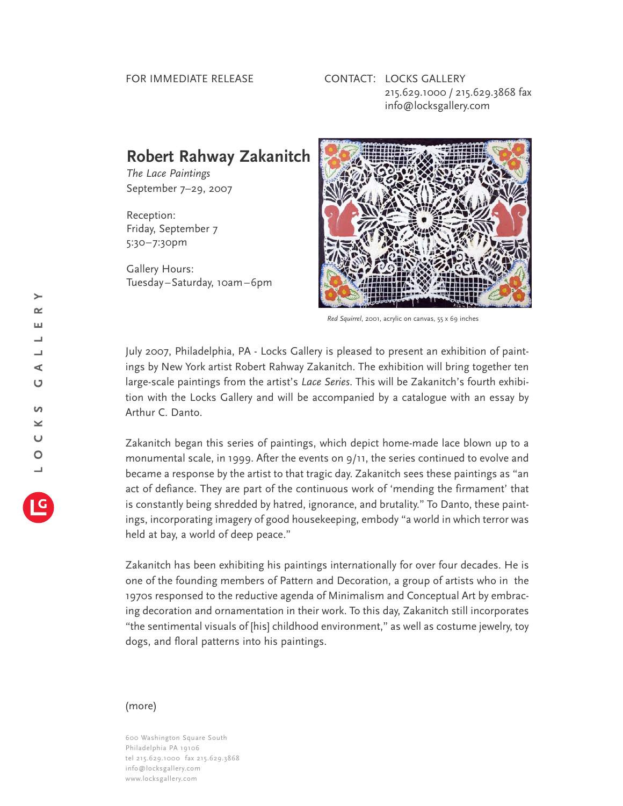## FOR IMMEDIATE RELEASE

## CONTACT: LOCKS GALLERY 215.629.1000 / 215.629.3868 fax info@locksgallery.com

## **Robert Rahway Zakanitch**

*The Lace Paintings* September 7–29, 2007

Reception: Friday, September 7 5:30–7:30pm

Gallery Hours: Tuesday–Saturday, 10am–6pm



*Red Squirrel*, 2001, acrylic on canvas, 55 x 69 inches

July 2007, Philadelphia, PA - Locks Gallery is pleased to present an exhibition of paintings by New York artist Robert Rahway Zakanitch. The exhibition will bring together ten large-scale paintings from the artist's *Lace Series*. This will be Zakanitch's fourth exhibition with the Locks Gallery and will be accompanied by a catalogue with an essay by Arthur C. Danto.

Zakanitch began this series of paintings, which depict home-made lace blown up to a monumental scale, in 1999. After the events on 9/11, the series continued to evolve and became a response by the artist to that tragic day. Zakanitch sees these paintings as "an act of defiance. They are part of the continuous work of 'mending the firmament' that is constantly being shredded by hatred, ignorance, and brutality." To Danto, these paintings, incorporating imagery of good housekeeping, embody "a world in which terror was held at bay, a world of deep peace."

Zakanitch has been exhibiting his paintings internationally for over four decades. He is one of the founding members of Pattern and Decoration, a group of artists who in the 1970s responsed to the reductive agenda of Minimalism and Conceptual Art by embracing decoration and ornamentation in their work. To this day, Zakanitch still incorporates "the sentimental visuals of [his] childhood environment," as well as costume jewelry, toy dogs, and floral patterns into his paintings.

## (more)

600 Washington Square South Philadelphia PA 19106 tel 215.629.1000 fax 215.629.3868 info@locksgallery.com www.locksgallery.com